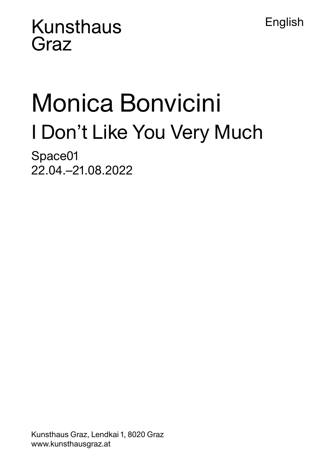English

## **Kunsthaus** Graz

# Monica Bonvicini I Don't Like You Very Much

Space01 22.04.–21.08.2022

Kunsthaus Graz, Lendkai 1, 8020 Graz www.kunsthausgraz.at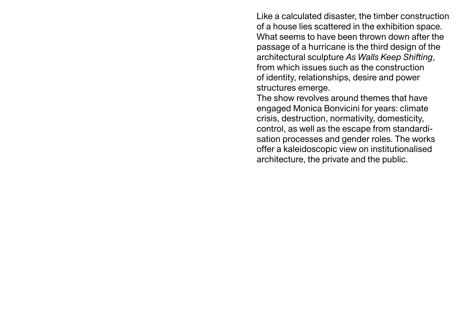Like a calculated disaster, the timber construction of a house lies scattered in the exhibition space. What seems to have been thrown down after the passage of a hurricane is the third design of the architectural sculpture *As Walls Keep Shifting*, from which issues such as the construction of identity, relationships, desire and power structures emerge.

The show revolves around themes that have engaged Monica Bonvicini for years: climate crisis, destruction, normativity, domesticity, control, as well as the escape from standardisation processes and gender roles. The works offer a kaleidoscopic view on institutionalised architecture, the private and the public.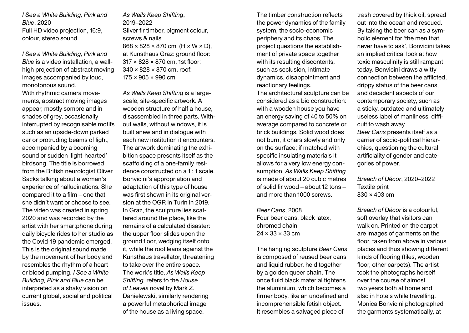*I See a White Building, Pink and Blue*, 2020 Full HD video projection, 16:9, colour, stereo sound

*I See a White Building, Pink and Blue* is a video installation, a wallhigh projection of abstract moving images accompanied by loud, monotonous sound.

With rhythmic camera movements, abstract moving images appear, mostly sombre and in shades of grey, occasionally interrupted by recognisable motifs such as an upside-down parked car or protruding beams of light, accompanied by a booming sound or sudden 'light-hearted' birdsong. The title is borrowed from the British neurologist Oliver Sacks talking about a woman's experience of hallucinations. She compared it to a film – one that she didn't want or choose to see. The video was created in spring 2020 and was recorded by the artist with her smartphone during daily bicycle rides to her studio as the Covid-19 pandemic emerged. This is the original sound made by the movement of her body and resembles the rhythm of a heart or blood pumping. *I See a White Building, Pink and Blue* can be interpreted as a shaky vision on current global, social and political issues.

*As Walls Keep Shifting*, 2019–2022 Silver fir timber, pigment colour, screws & nails  $868 \times 828 \times 870$  cm (H  $\times$  W  $\times$  D). at Kunsthaus Graz: ground floor: 317 × 828 × 870 cm, 1st floor: 340 × 828 × 870 cm, roof:  $175 \times 905 \times 990$  cm

*As Walls Keep Shifting* is a largescale, site-specific artwork. A wooden structure of half a house, disassembled in three parts. Without walls, without windows, it is built anew and in dialogue with each new institution it encounters. The artwork dominating the exhibition space presents itself as the scaffolding of a one-family residence constructed on a 1 : 1 scale. Bonvicini's appropriation and adaptation of this type of house was first shown in its original version at the OGR in Turin in 2019. In Graz, the sculpture lies scattered around the place, like the remains of a calculated disaster: the upper floor slides upon the ground floor, wedging itself onto it, while the roof leans against the Kunsthaus travellator, threatening to take over the entire space. The work's title, *As Walls Keep Shifting,* refers to the *House of Leaves* novel by Mark Z. Danielewski, similarly rendering a powerful metaphorical image of the house as a living space.

The timber construction reflects the power dynamics of the family system, the socio-economic periphery and its chaos. The project questions the establishment of private space together with its resulting discontents, such as seclusion, intimate dynamics, disappointment and reactionary feelings.

The architectural sculpture can be considered as a bio construction: with a wooden house you have an energy saving of 40 to 50% on average compared to concrete or brick buildings. Solid wood does not burn, it chars slowly and only on the surface; if matched with specific insulating materials it allows for a very low energy consumption. *As Walls Keep Shifting* is made of about 20 cubic metres of solid fir wood – about 12 tons – and more than 1000 screws.

*Beer Cans*, 2008 Four beer cans, black latex, chromed chain  $24 \times 33 \times 33$  cm

The hanging sculpture *Beer Cans* is composed of reused beer cans and liquid rubber, held together by a golden queer chain. The once fluid black material tightens the aluminium, which becomes a firmer body, like an undefined and incomprehensible fetish object. It resembles a salvaged piece of

trash covered by thick oil, spread out into the ocean and rescued. By taking the beer can as a symbolic element for 'the men that never have to ask', Bonvicini takes an implied critical look at how toxic masculinity is still rampant today. Bonvicini draws a witty connection between the afflicted, drippy status of the beer cans, and decadent aspects of our contemporary society, such as a sticky, outdated and ultimately useless label of manliness, difficult to wash away. *Beer Cans* presents itself as a carrier of socio-political hierarchies, questioning the cultural artificiality of gender and categories of power.

*Breach of D*é*cor*, 2020–2022 Textile print 830 × 403 cm

*Breach of Décor* is a colourful, soft overlay that visitors can walk on. Printed on the carpet are images of garments on the floor, taken from above in various places and thus showing different kinds of flooring (tiles, wooden floor, other carpets). The artist took the photographs herself over the course of almost two years both at home and also in hotels while travelling. Monica Bonvicini photographed the garments systematically, at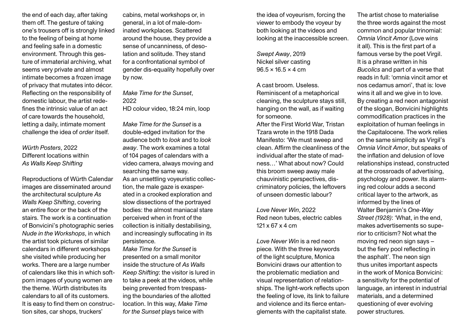the end of each day, after taking them off. The gesture of taking one's trousers off is strongly linked to the feeling of being at home and feeling safe in a domestic environment. Through this gesture of immaterial archiving, what seems very private and almost intimate becomes a frozen image of privacy that mutates into décor. Reflecting on the responsibility of domestic labour, the artist redefines the intrinsic value of an act of care towards the household, letting a daily, intimate moment challenge the idea of *order* itself.

### *Würth Posters*, 2022 Different locations within *As Walls Keep Shifting*

Reproductions of Würth Calendar images are disseminated around the architectural sculpture *As Walls Keep Shifting*, covering an entire floor or the back of the stairs. The work is a continuation of Bonvicini's photographic series *Nude in the Workshops*, in which the artist took pictures of similar calendars in different workshops she visited while producing her works. There are a large number of calendars like this in which softporn images of young women are the theme. Würth distributes its calendars to all of its customers. It is easy to find them on construction sites, car shops, truckers'

cabins, metal workshops or, in general, in a lot of male-dominated workplaces. Scattered around the house, they provide a sense of uncanniness, of desolation and solitude. They stand for a confrontational symbol of gender dis-equality hopefully over by now.

*Make Time for the Sunset*, 2022 HD colour video, 18:24 min, loop

*Make Time for the Sunset* is a double-edged invitation for the audience both to *look* and to *look away*. The work examines a total of 104 pages of calendars with a video camera, always moving and searching the same way. As an unsettling voyeuristic collection, the male gaze is exasperated in a crooked exploration and slow dissections of the portrayed bodies: the almost maniacal stare perceived when in front of the collection is initially destabilising, and increasingly suffocating in its persistence.

*Make Time for the Sunset* is presented on a small monitor inside the structure of *As Walls Keep Shifting*: the visitor is lured in to take a peek at the videos, while being prevented from trespassing the boundaries of the allotted location. In this way, *Make Time for the Sunset* plays twice with

the idea of voyeurism, forcing the viewer to embody the voyeur by both looking at the videos and looking at the inaccessible screen.

*Swept Away*, 2019 Nickel silver casting  $96.5 \times 16.5 \times 4 \text{ cm}$ 

A cast broom. Useless. Reminiscent of a metaphorical cleaning, the sculpture stays still, hanging on the wall, as if waiting for someone. After the First World War, Tristan Tzara wrote in the 1918 Dada Manifesto: 'We must sweep and clean. Affirm the cleanliness of the individual after the state of madness…' What about now? Could this broom sweep away male chauvinistic perspectives, discriminatory policies, the leftovers of unseen domestic labour?

*Love Never Win*, 2022 Red neon tubes, electric cables 121 x 67 x 4 cm

*Love Never Win* is a red neon piece. With the three keywords of the light sculpture, Monica Bonvicini draws our attention to the problematic mediation and visual representation of relationships. The light-work reflects upon the feeling of love, its link to failure and violence and its fierce entanglements with the capitalist state.

The artist chose to materialise the three words against the most common and popular trinomial: *Omnia Vincit Amor* (Love wins it all). This is the first part of a famous verse by the poet Virgil. It is a phrase written in his *Bucolics* and part of a verse that reads in full: 'omnia vincit amor et nos cedamus amori', that is: love wins it all and we give in to love. By creating a red neon antagonist of the slogan, Bonvicini highlights commodification practices in the exploitation of human feelings in the Capitalocene. The work relies on the same simplicity as Virgil's *Omnia Vincit Amor*, but speaks of the inflation and delusion of love relationships instead, constructed at the crossroads of advertising, psychology and power. Its alarming red colour adds a second critical layer to the artwork, as informed by the lines of Walter Benjamin's *One-Way Street (1928)*: 'What, in the end, makes advertisements so superior to criticism? Not what the moving red neon sign says – but the fiery pool reflecting in the asphalt'. The neon sign thus unites important aspects in the work of Monica Bonvicini: a sensitivity for the potential of language, an interest in industrial materials, and a determined questioning of ever evolving power structures.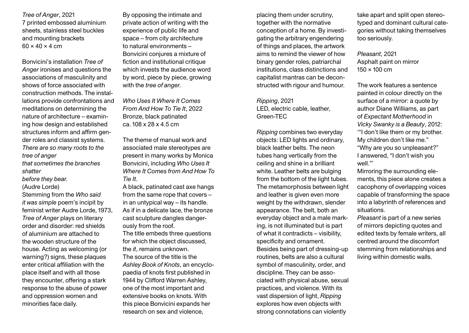*Tree of Anger*, 2021 7 printed embossed aluminium sheets, stainless steel buckles and mounting brackets  $60 \times 40 \times 4$  cm

Bonvicini's installation *Tree of Anger* ironises and questions the associations of masculinity and shows of force associated with construction methods. The installations provide confrontations and meditations on determining the nature of architecture – examining how design and established structures inform and affirm gender roles and classist systems. *There are so many roots to the tree of anger that sometimes the branches shatter before they bear.* (Audre Lorde) Stemming from the *Who said it was simple* poem's incipit by feminist writer Audre Lorde, 1973, *Tree of Anger* plays on literary order and disorder: red shields of aluminium are attached to the wooden structure of the house. Acting as welcoming (or warning?) signs, these plaques

enter critical affiliation with the place itself and with all those they encounter, offering a stark response to the abuse of power and oppression women and

minorities face daily.

By opposing the intimate and private action of writing with the experience of public life and space – from city architecture to natural environments – Bonvicini conjures a mixture of fiction and institutional critique which invests the audience word by word, piece by piece, growing with the *tree of anger.*

*Who Uses It Where It Comes From And How To Tie It*, 2022 Bronze, black patinated ca. 108 x 28 x 4.5 cm

The theme of manual work and associated male stereotypes are present in many works by Monica Bonvicini, including *Who Uses It Where It Comes from And How To Tie It*.

A black, patinated cast axe hangs from the same rope that covers – in an untypical way – its handle. As if in a delicate lace, the bronze cast sculpture dangles dangerously from the roof.

The title embeds three questions for which the object discussed, the *it*, remains unknown. The source of the title is the *Ashley Book of Knots*, an encyclopaedia of knots first published in 1944 by Clifford Warren Ashley, one of the most important and extensive books on knots. With this piece Bonvicini expands her research on sex and violence,

placing them under scrutiny, together with the normative conception of a home. By investigating the arbitrary engendering of things and places, the artwork aims to remind the viewer of how binary gender roles, patriarchal institutions, class distinctions and capitalist mantras can be deconstructed with rigour and humour.

*Ripping*, 2021 LED, electric cable, leather, Green-TEC

*Ripping* combines two everyday objects: LED lights and ordinary, black leather belts. The neon tubes hang vertically from the ceiling and shine in a brilliant white. Leather belts are bulging from the bottom of the light tubes. The metamorphosis between light and leather is given even more weight by the withdrawn, slender appearance. The belt, both an everyday object and a male marking, is not illuminated but is part of what it contradicts – visibility, specificity and ornament. Besides being part of dressing-up routines, belts are also a cultural symbol of masculinity, order, and discipline. They can be associated with physical abuse, sexual practices, and violence. With its vast dispersion of light, *Ripping* explores how even objects with strong connotations can violently

take apart and split open stereotyped and dominant cultural categories without taking themselves too seriously.

*Pleasant*, 2021 Asphalt paint on mirror 150 × 100 cm

The work features a sentence painted in colour directly on the surface of a mirror: a quote by author Diane Williams, as part of *Expectant Motherhood* in *Vicky Swanky is a Beauty*, 2012: '"I don't like them or my brother. My children don't like me." "Why are you so unpleasant?" I answered, "I don't wish you well."'

Mirroring the surrounding elements, this piece alone creates a cacophony of overlapping voices capable of transforming the space into a labyrinth of references and situations.

*Pleasant* is part of a new series of mirrors depicting quotes and edited texts by female writers, all centred around the discomfort stemming from relationships and living within domestic walls.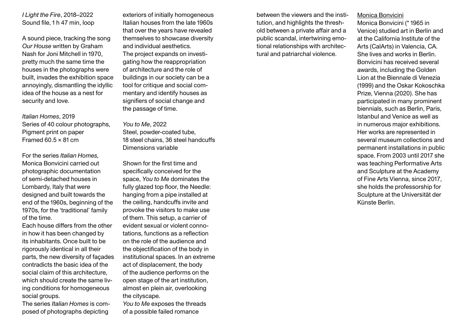*I Light the Fire*, 2018–2022 Sound file, 1 h 47 min, loop

A sound piece, tracking the song *Our House* written by Graham Nash for Joni Mitchell in 1970, pretty much the same time the houses in the photographs were built, invades the exhibition space annoyingly, dismantling the idyllic idea of the house as a nest for security and love.

*Italian Homes*, 2019 Series of 40 colour photographs, Pigment print on paper Framed  $60.5 \times 81$  cm

For the series *Italian Homes,* Monica Bonvicini carried out photographic documentation of semi-detached houses in Lombardy, Italy that were designed and built towards the end of the 1960s, beginning of the 1970s, for the 'traditional' family of the time.

Each house differs from the other in how it has been changed by its inhabitants. Once built to be rigorously identical in all their parts, the new diversity of façades contradicts the basic idea of the social claim of this architecture, which should create the same living conditions for homogeneous social groups.

The series *Italian Homes* is composed of photographs depicting

exteriors of initially homogeneous Italian houses from the late 1960s that over the years have revealed themselves to showcase diversity and individual aesthetics. The project expands on investigating how the reappropriation of architecture and the role of buildings in our society can be a tool for critique and social commentary and identify houses as signifiers of social change and the passage of time.

#### *You to Me*, 2022

Steel, powder-coated tube, 18 steel chains, 36 steel handcuffs Dimensions variable

Shown for the first time and specifically conceived for the space, *You to Me* dominates the fully glazed top floor, the Needle: hanging from a pipe installed at the ceiling, handcuffs invite and provoke the visitors to make use of them. This setup, a carrier of evident sexual or violent connotations, functions as a reflection on the role of the audience and the objectification of the body in institutional spaces. In an extreme act of displacement, the body of the audience performs on the open stage of the art institution, almost en plein air, overlooking the cityscape.

*You to Me* exposes the threads of a possible failed romance

between the viewers and the institution, and highlights the threshold between a private affair and a public scandal, intertwining emotional relationships with architectural and patriarchal violence.

#### Monica Bonvicini

Monica Bonvicini (\* 1965 in Venice) studied art in Berlin and at the California Institute of the Arts (CalArts) in Valencia, CA. She lives and works in Berlin. Bonvicini has received several awards, including the Golden Lion at the Biennale di Venezia (1999) and the Oskar Kokoschka Prize, Vienna (2020). She has participated in many prominent biennials, such as Berlin, Paris, Istanbul and Venice as well as in numerous major exhibitions. Her works are represented in several museum collections and permanent installations in public space. From 2003 until 2017 she was teaching Performative Arts and Sculpture at the Academy of Fine Arts Vienna, since 2017, she holds the professorship for Sculpture at the Universität der Künste Berlin.